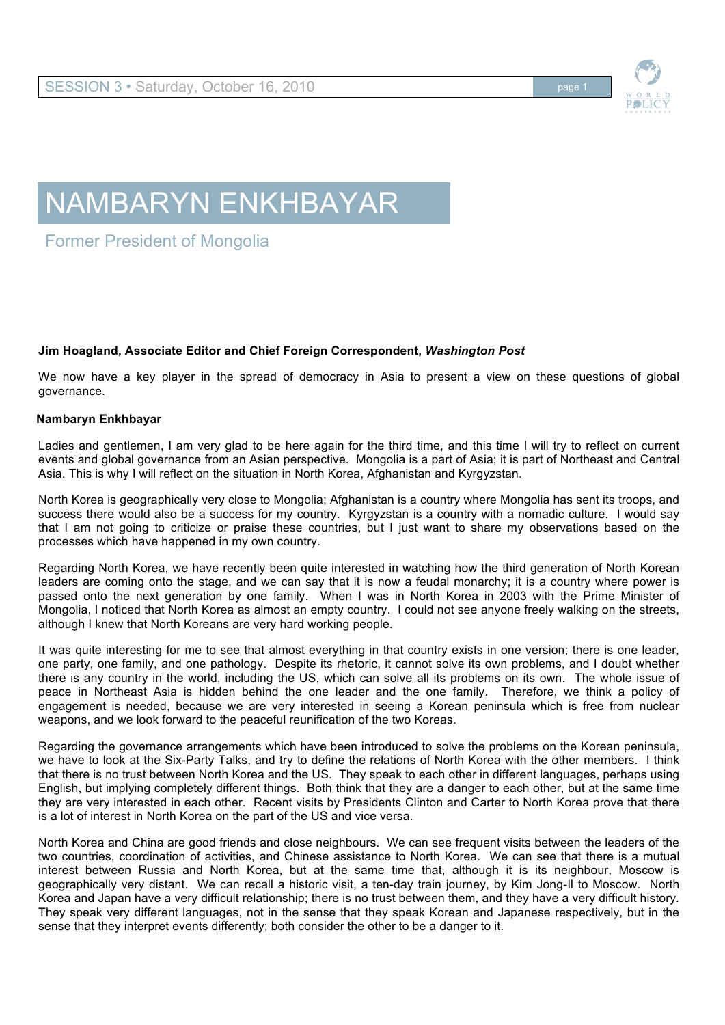

## NAMBARYN ENKHBAYAR

Former President of Mongolia

## **Jim Hoagland, Associate Editor and Chief Foreign Correspondent,** *Washington Post*

We now have a key player in the spread of democracy in Asia to present a view on these questions of global governance.

## **Nambaryn Enkhbayar**

Ladies and gentlemen, I am very glad to be here again for the third time, and this time I will try to reflect on current events and global governance from an Asian perspective. Mongolia is a part of Asia; it is part of Northeast and Central Asia. This is why I will reflect on the situation in North Korea, Afghanistan and Kyrgyzstan.

North Korea is geographically very close to Mongolia; Afghanistan is a country where Mongolia has sent its troops, and success there would also be a success for my country. Kyrgyzstan is a country with a nomadic culture. I would say that I am not going to criticize or praise these countries, but I just want to share my observations based on the processes which have happened in my own country.

Regarding North Korea, we have recently been quite interested in watching how the third generation of North Korean leaders are coming onto the stage, and we can say that it is now a feudal monarchy; it is a country where power is passed onto the next generation by one family. When I was in North Korea in 2003 with the Prime Minister of Mongolia, I noticed that North Korea as almost an empty country. I could not see anyone freely walking on the streets, although I knew that North Koreans are very hard working people.

It was quite interesting for me to see that almost everything in that country exists in one version; there is one leader, one party, one family, and one pathology. Despite its rhetoric, it cannot solve its own problems, and I doubt whether there is any country in the world, including the US, which can solve all its problems on its own. The whole issue of peace in Northeast Asia is hidden behind the one leader and the one family. Therefore, we think a policy of engagement is needed, because we are very interested in seeing a Korean peninsula which is free from nuclear weapons, and we look forward to the peaceful reunification of the two Koreas.

Regarding the governance arrangements which have been introduced to solve the problems on the Korean peninsula, we have to look at the Six-Party Talks, and try to define the relations of North Korea with the other members. I think that there is no trust between North Korea and the US. They speak to each other in different languages, perhaps using English, but implying completely different things. Both think that they are a danger to each other, but at the same time they are very interested in each other. Recent visits by Presidents Clinton and Carter to North Korea prove that there is a lot of interest in North Korea on the part of the US and vice versa.

North Korea and China are good friends and close neighbours. We can see frequent visits between the leaders of the two countries, coordination of activities, and Chinese assistance to North Korea. We can see that there is a mutual interest between Russia and North Korea, but at the same time that, although it is its neighbour, Moscow is geographically very distant. We can recall a historic visit, a ten-day train journey, by Kim Jong-Il to Moscow. North Korea and Japan have a very difficult relationship; there is no trust between them, and they have a very difficult history. They speak very different languages, not in the sense that they speak Korean and Japanese respectively, but in the sense that they interpret events differently; both consider the other to be a danger to it.